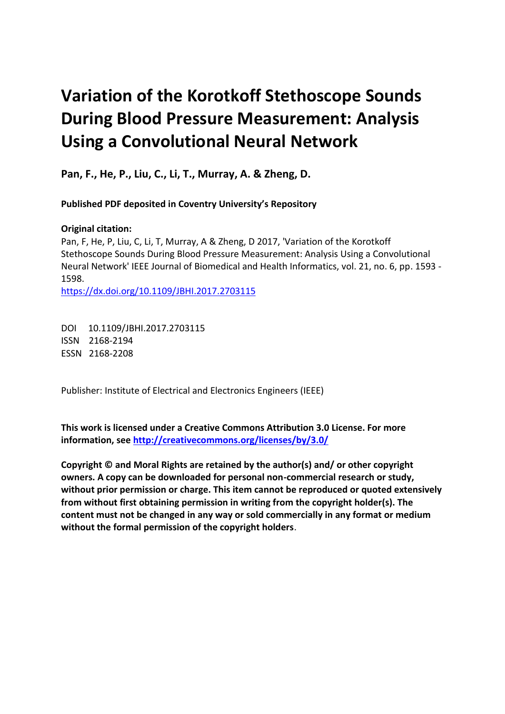## **Variation of the Korotkoff Stethoscope Sounds During Blood Pressure Measurement: Analysis Using a Convolutional Neural Network**

 **Pan, F., He, P., Liu, C., Li, T., Murray, A. & Zheng, D.** 

 **Published PDF deposited in Coventry University's Repository** 

## **Original citation:**

 Pan, F, He, P, Liu, C, Li, T, Murray, A & Zheng, D 2017, 'Variation of the Korotkoff Stethoscope Sounds During Blood Pressure Measurement: Analysis Using a Convolutional Neural Network' IEEE Journal of Biomedical and Health Informatics, vol. 21, no. 6, pp. 1593 - 1598.

https://dx.doi.org/10.1109/JBHI.2017.2703115

 DOI 10.1109/JBHI.2017.2703115 ISSN 2168-2194 ESSN 2168-2208

Publisher: Institute of Electrical and Electronics Engineers (IEEE)

 **This work is licensed under a Creative Commons Attribution 3.0 License. For more information, see<http://creativecommons.org/licenses/by/3.0/>**

 **Copyright © and Moral Rights are retained by the author(s) and/ or other copyright owners. A copy can be downloaded for personal non-commercial research or study, without prior permission or charge. This item cannot be reproduced or quoted extensively from without first obtaining permission in writing from the copyright holder(s). The content must not be changed in any way or sold commercially in any format or medium without the formal permission of the copyright holders**.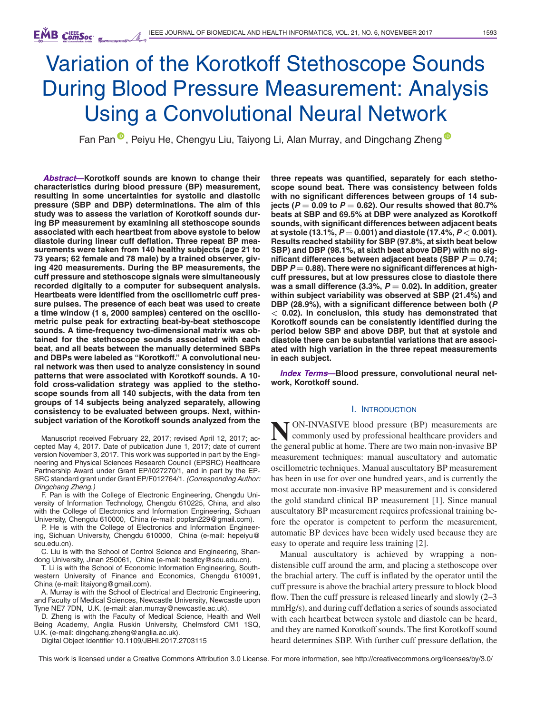# Variation of the Korotkoff Stethoscope Sounds During Blood Pressure Measurement: Analysis Using a Convolutional Neural Network

Fan Pan <sup>®</sup>[,](https://orcid.org/0000-0001-9119-7387) Peiyu He, Chengyu Liu, Taiyong Li, Alan Murray, and Dingchang Zheng<sup>®</sup>

*Abstract***—Korotkoff sounds are known to change their characteristics during blood pressure (BP) measurement, resulting in some uncertainties for systolic and diastolic pressure (SBP and DBP) determinations. The aim of this study was to assess the variation of Korotkoff sounds during BP measurement by examining all stethoscope sounds associated with each heartbeat from above systole to below diastole during linear cuff deflation. Three repeat BP measurements were taken from 140 healthy subjects (age 21 to 73 years; 62 female and 78 male) by a trained observer, giving 420 measurements. During the BP measurements, the cuff pressure and stethoscope signals were simultaneously recorded digitally to a computer for subsequent analysis. Heartbeats were identified from the oscillometric cuff pressure pulses. The presence of each beat was used to create a time window (1 s, 2000 samples) centered on the oscillometric pulse peak for extracting beat-by-beat stethoscope sounds. A time-frequency two-dimensional matrix was obtained for the stethoscope sounds associated with each beat, and all beats between the manually determined SBPs and DBPs were labeled as "Korotkoff." A convolutional neural network was then used to analyze consistency in sound patterns that were associated with Korotkoff sounds. A 10 fold cross-validation strategy was applied to the stethoscope sounds from all 140 subjects, with the data from ten groups of 14 subjects being analyzed separately, allowing consistency to be evaluated between groups. Next, withinsubject variation of the Korotkoff sounds analyzed from the** 

Manuscript received February 22, 2017; revised April 12, 2017; accepted May 4, 2017. Date of publication June 1, 2017; date of current version November 3, 2017. This work was supported in part by the Engineering and Physical Sciences Research Council (EPSRC) Healthcare Partnership Award under Grant EP/I027270/1, and in part by the EP-SRC standard grant under Grant EP/F012764/1. *(Corresponding Author: Dingchang Zheng.)* 

F. Pan is with the College of Electronic Engineering, Chengdu University of Information Technology, Chengdu 610225, China, and also with the College of Electronics and Information Engineering, Sichuan University, Chengdu 610000, China (e-mail: popfan229@gmail.com).

P. He is with the College of Electronics and Information Engineering, Sichuan University, Chengdu 610000, China (e-mail: hepeiyu@ scu.edu.cn).

C. Liu is with the School of Control Science and Engineering, Shandong University, Jinan 250061, China (e-mail: bestlcy@sdu.edu.cn).

T. Li is with the School of Economic Information Engineering, Southwestern University of Finance and Economics, Chengdu 610091, China (e-mail: litaiyong@gmail.com).

A. Murray is with the School of Electrical and Electronic Engineering, and Faculty of Medical Sciences, Newcastle University, Newcastle upon Tyne NE7 7DN, U.K. (e-mail: alan.murray@newcastle.ac.uk).

D. Zheng is with the Faculty of Medical Science, Health and Well Being Academy, Anglia Ruskin University, Chelmsford CM1 1SQ, U.K. (e-mail: dingchang.zheng@anglia.ac.uk).

Digital Object Identifier 10.1109/JBHI.2017.2703115

**three repeats was quantified, separately for each stethoscope sound beat. There was consistency between folds with no significant differences between groups of 14 subjects (***P* **= 0.09 to** *P* **= 0.62). Our results showed that 80.7% beats at SBP and 69.5% at DBP were analyzed as Korotkoff sounds, with significant differences between adjacent beats at systole (13.1%,** *P* **= 0.001) and diastole (17.4%,** *P <* **0.001). Results reached stability for SBP (97.8%, at sixth beat below SBP) and DBP (98.1%, at sixth beat above DBP) with no significant differences between adjacent beats (SBP** *P* **= 0.74; DBP** *P* **= 0.88). There were no significant differences at highcuff pressures, but at low pressures close to diastole there was a small difference (3.3%,** *P* **= 0.02). In addition, greater within subject variability was observed at SBP (21.4%) and DBP (28.9%), with a significant difference between both (***P <* **0.02). In conclusion, this study has demonstrated that Korotkoff sounds can be consistently identified during the period below SBP and above DBP, but that at systole and diastole there can be substantial variations that are associated with high variation in the three repeat measurements in each subject.** 

*Index Terms***—Blood pressure, convolutional neural network, Korotkoff sound.** 

#### I. INTRODUCTION

**N**ON-INVASIVE blood pressure (BP) measurements are commonly used by professional healthcare providers and the general public at home. There are two main non-invasive BP measurement techniques: manual auscultatory and automatic oscillometric techniques. Manual auscultatory BP measurement has been in use for over one hundred years, and is currently the most accurate non-invasive BP measurement and is considered the gold standard clinical BP measurement [1]. Since manual auscultatory BP measurement requires professional training before the operator is competent to perform the measurement, automatic BP devices have been widely used because they are easy to operate and require less training [2].

Manual auscultatory is achieved by wrapping a nondistensible cuff around the arm, and placing a stethoscope over the brachial artery. The cuff is inflated by the operator until the cuff pressure is above the brachial artery pressure to block blood flow. Then the cuff pressure is released linearly and slowly (2–3 mmHg/s), and during cuff deflation a series of sounds associated with each heartbeat between systole and diastole can be heard, and they are named Korotkoff sounds. The first Korotkoff sound heard determines SBP. With further cuff pressure deflation, the

This work is licensed under a Creative Commons Attribution 3.0 License. For more information, see http://creativecommons.org/licenses/by/3.0/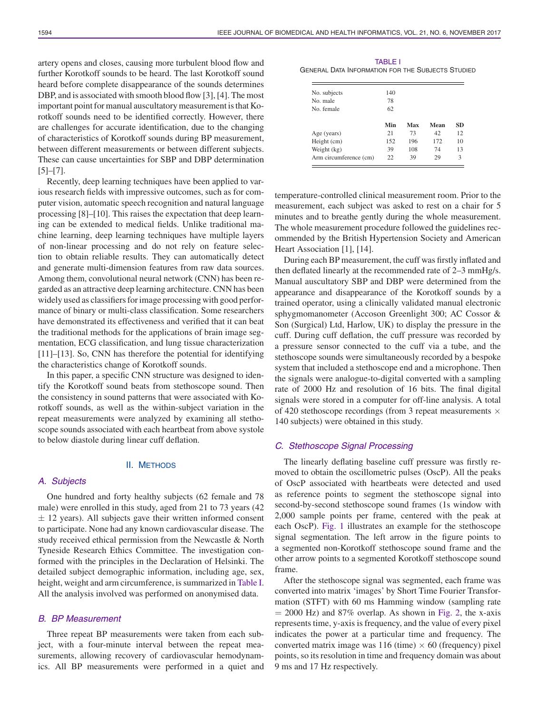artery opens and closes, causing more turbulent blood flow and further Korotkoff sounds to be heard. The last Korotkoff sound heard before complete disappearance of the sounds determines DBP, and is associated with smooth blood flow [3], [4]. The most important point for manual auscultatory measurement is that Korotkoff sounds need to be identified correctly. However, there are challenges for accurate identification, due to the changing of characteristics of Korotkoff sounds during BP measurement, between different measurements or between different subjects. These can cause uncertainties for SBP and DBP determination  $[5]-[7]$ .

Recently, deep learning techniques have been applied to various research fields with impressive outcomes, such as for computer vision, automatic speech recognition and natural language processing [8]–[10]. This raises the expectation that deep learning can be extended to medical fields. Unlike traditional machine learning, deep learning techniques have multiple layers of non-linear processing and do not rely on feature selection to obtain reliable results. They can automatically detect and generate multi-dimension features from raw data sources. Among them, convolutional neural network (CNN) has been regarded as an attractive deep learning architecture. CNN has been widely used as classifiers for image processing with good performance of binary or multi-class classification. Some researchers have demonstrated its effectiveness and verified that it can beat the traditional methods for the applications of brain image segmentation, ECG classification, and lung tissue characterization [11]–[13]. So, CNN has therefore the potential for identifying the characteristics change of Korotkoff sounds.

In this paper, a specific CNN structure was designed to identify the Korotkoff sound beats from stethoscope sound. Then the consistency in sound patterns that were associated with Korotkoff sounds, as well as the within-subject variation in the repeat measurements were analyzed by examining all stethoscope sounds associated with each heartbeat from above systole to below diastole during linear cuff deflation.

#### II. METHODS

## *A. Subjects*

One hundred and forty healthy subjects (62 female and 78 male) were enrolled in this study, aged from 21 to 73 years (42 *±* 12 years). All subjects gave their written informed consent to participate. None had any known cardiovascular disease. The study received ethical permission from the Newcastle & North Tyneside Research Ethics Committee. The investigation conformed with the principles in the Declaration of Helsinki. The detailed subject demographic information, including age, sex, height, weight and arm circumference, is summarized in Table I. All the analysis involved was performed on anonymised data.

## *B. BP Measurement*

Three repeat BP measurements were taken from each subject, with a four-minute interval between the repeat measurements, allowing recovery of cardiovascular hemodynamics. All BP measurements were performed in a quiet and

TABLE I GENERAL DATA INFORMATION FOR THE SUBJECTS STUDIED

| No. subjects           | 140 |     |      |           |
|------------------------|-----|-----|------|-----------|
| No. male               | 78  |     |      |           |
| No. female             | 62  |     |      |           |
|                        | Min | Max | Mean | <b>SD</b> |
| Age (years)            | 21  | 73  | 42   | 12        |
| Height (cm)            | 152 | 196 | 172  | 10        |
| Weight (kg)            | 39  | 108 | 74   | 13        |
| Arm circumference (cm) | 22  | 39  | 29   | 3         |

temperature-controlled clinical measurement room. Prior to the measurement, each subject was asked to rest on a chair for 5 minutes and to breathe gently during the whole measurement. The whole measurement procedure followed the guidelines recommended by the British Hypertension Society and American Heart Association [1], [14].

During each BP measurement, the cuff was firstly inflated and then deflated linearly at the recommended rate of 2–3 mmHg/s. Manual auscultatory SBP and DBP were determined from the appearance and disappearance of the Korotkoff sounds by a trained operator, using a clinically validated manual electronic sphygmomanometer (Accoson Greenlight 300; AC Cossor & Son (Surgical) Ltd, Harlow, UK) to display the pressure in the cuff. During cuff deflation, the cuff pressure was recorded by a pressure sensor connected to the cuff via a tube, and the stethoscope sounds were simultaneously recorded by a bespoke system that included a stethoscope end and a microphone. Then the signals were analogue-to-digital converted with a sampling rate of 2000 Hz and resolution of 16 bits. The final digital signals were stored in a computer for off-line analysis. A total of 420 stethoscope recordings (from 3 repeat measurements *×* 140 subjects) were obtained in this study.

### *C. Stethoscope Signal Processing*

The linearly deflating baseline cuff pressure was firstly removed to obtain the oscillometric pulses (OscP). All the peaks of OscP associated with heartbeats were detected and used as reference points to segment the stethoscope signal into second-by-second stethoscope sound frames (1s window with 2,000 sample points per frame, centered with the peak at each OscP). Fig. 1 illustrates an example for the stethoscope signal segmentation. The left arrow in the figure points to a segmented non-Korotkoff stethoscope sound frame and the other arrow points to a segmented Korotkoff stethoscope sound frame.

After the stethoscope signal was segmented, each frame was converted into matrix 'images' by Short Time Fourier Transformation (STFT) with 60 ms Hamming window (sampling rate  $= 2000$  Hz) and 87% overlap. As shown in Fig. 2, the x-axis represents time, y-axis is frequency, and the value of every pixel indicates the power at a particular time and frequency. The converted matrix image was  $116$  (time)  $\times$  60 (frequency) pixel points, so its resolution in time and frequency domain was about 9 ms and 17 Hz respectively.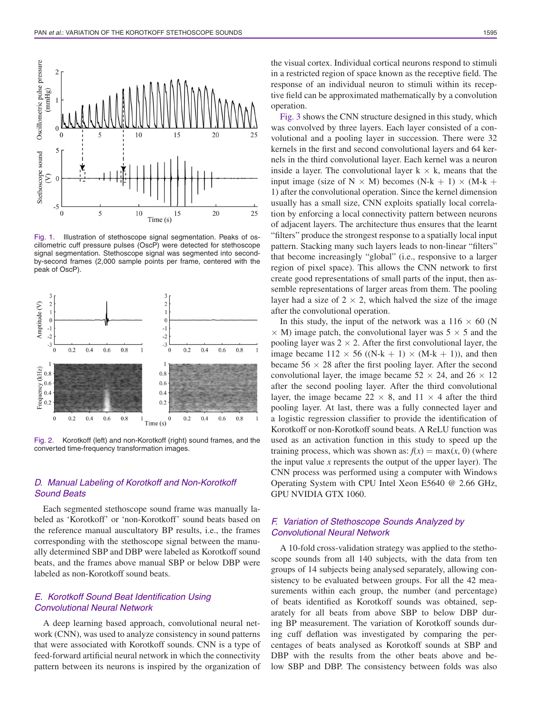

Fig. 1. Illustration of stethoscope signal segmentation. Peaks of oscillometric cuff pressure pulses (OscP) were detected for stethoscope signal segmentation. Stethoscope signal was segmented into secondby-second frames (2,000 sample points per frame, centered with the peak of OscP).



Fig. 2. Korotkoff (left) and non-Korotkoff (right) sound frames, and the converted time-frequency transformation images.

## *D. Manual Labeling of Korotkoff and Non-Korotkoff Sound Beats*

Each segmented stethoscope sound frame was manually labeled as 'Korotkoff' or 'non-Korotkoff' sound beats based on the reference manual auscultatory BP results, i.e., the frames corresponding with the stethoscope signal between the manually determined SBP and DBP were labeled as Korotkoff sound beats, and the frames above manual SBP or below DBP were labeled as non-Korotkoff sound beats.

## *E. Korotkoff Sound Beat Identification Using Convolutional Neural Network*

A deep learning based approach, convolutional neural network (CNN), was used to analyze consistency in sound patterns that were associated with Korotkoff sounds. CNN is a type of feed-forward artificial neural network in which the connectivity pattern between its neurons is inspired by the organization of

the visual cortex. Individual cortical neurons respond to stimuli in a restricted region of space known as the receptive field. The response of an individual neuron to stimuli within its receptive field can be approximated mathematically by a convolution operation.

Fig. 3 shows the CNN structure designed in this study, which was convolved by three layers. Each layer consisted of a convolutional and a pooling layer in succession. There were 32 kernels in the first and second convolutional layers and 64 kernels in the third convolutional layer. Each kernel was a neuron inside a layer. The convolutional layer  $k \times k$ , means that the input image (size of  $N \times M$ ) becomes (N-k + 1)  $\times$  (M-k + 1) after the convolutional operation. Since the kernel dimension usually has a small size, CNN exploits spatially local correlation by enforcing a local connectivity pattern between neurons of adjacent layers. The architecture thus ensures that the learnt "filters" produce the strongest response to a spatially local input pattern. Stacking many such layers leads to non-linear "filters" that become increasingly "global" (i.e., responsive to a larger region of pixel space). This allows the CNN network to first create good representations of small parts of the input, then assemble representations of larger areas from them. The pooling layer had a size of  $2 \times 2$ , which halved the size of the image after the convolutional operation.

In this study, the input of the network was a  $116 \times 60$  (N *×* M) image patch, the convolutional layer was 5 *×* 5 and the pooling layer was  $2 \times 2$ . After the first convolutional layer, the image became  $112 \times 56$  ((N-k + 1)  $\times$  (M-k + 1)), and then became  $56 \times 28$  after the first pooling layer. After the second convolutional layer, the image became  $52 \times 24$ , and  $26 \times 12$ after the second pooling layer. After the third convolutional layer, the image became  $22 \times 8$ , and  $11 \times 4$  after the third pooling layer. At last, there was a fully connected layer and a logistic regression classifier to provide the identification of Korotkoff or non-Korotkoff sound beats. A ReLU function was used as an activation function in this study to speed up the training process, which was shown as:  $f(x) = \max(x, 0)$  (where the input value *x* represents the output of the upper layer). The CNN process was performed using a computer with Windows Operating System with CPU Intel Xeon E5640 @ 2.66 GHz, GPU NVIDIA GTX 1060.

## *F. Variation of Stethoscope Sounds Analyzed by Convolutional Neural Network*

A 10-fold cross-validation strategy was applied to the stethoscope sounds from all 140 subjects, with the data from ten groups of 14 subjects being analysed separately, allowing consistency to be evaluated between groups. For all the 42 measurements within each group, the number (and percentage) of beats identified as Korotkoff sounds was obtained, separately for all beats from above SBP to below DBP during BP measurement. The variation of Korotkoff sounds during cuff deflation was investigated by comparing the percentages of beats analysed as Korotkoff sounds at SBP and DBP with the results from the other beats above and below SBP and DBP. The consistency between folds was also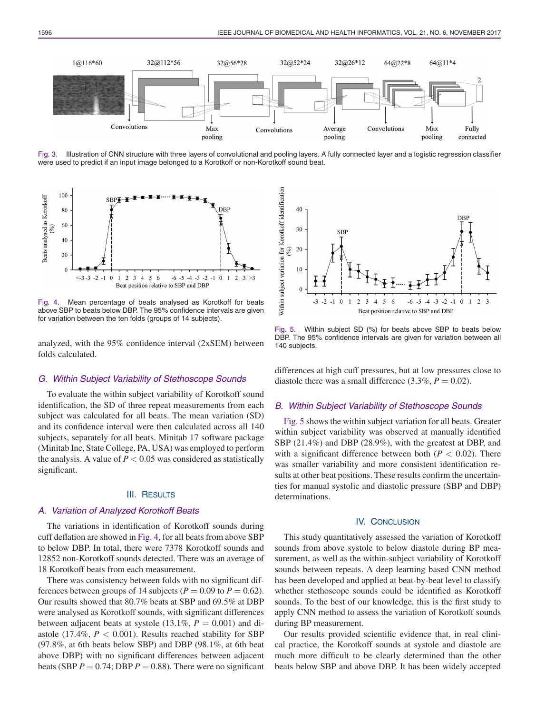

Fig. 3. Illustration of CNN structure with three layers of convolutional and pooling layers. A fully connected layer and a logistic regression classifier were used to predict if an input image belonged to a Korotkoff or non-Korotkoff sound beat.



Fig. 4. Mean percentage of beats analysed as Korotkoff for beats above SBP to beats below DBP. The 95% confidence intervals are given for variation between the ten folds (groups of 14 subjects).

analyzed, with the 95% confidence interval (2xSEM) between folds calculated.

#### *G. Within Subject Variability of Stethoscope Sounds*

To evaluate the within subject variability of Korotkoff sound identification, the SD of three repeat measurements from each subject was calculated for all beats. The mean variation (SD) and its confidence interval were then calculated across all 140 subjects, separately for all beats. Minitab 17 software package (Minitab Inc, State College, PA, USA) was employed to perform the analysis. A value of  $P < 0.05$  was considered as statistically significant.

### III. RESULTS

### *A. Variation of Analyzed Korotkoff Beats*

The variations in identification of Korotkoff sounds during cuff deflation are showed in Fig. 4, for all beats from above SBP to below DBP. In total, there were 7378 Korotkoff sounds and 12852 non-Korotkoff sounds detected. There was an average of 18 Korotkoff beats from each measurement.

There was consistency between folds with no significant differences between groups of 14 subjects ( $P = 0.09$  to  $P = 0.62$ ). Our results showed that 80.7% beats at SBP and 69.5% at DBP were analysed as Korotkoff sounds, with significant differences between adjacent beats at systole  $(13.1\%, P = 0.001)$  and diastole (17.4%,  $P < 0.001$ ). Results reached stability for SBP (97.8%, at 6th beats below SBP) and DBP (98.1%, at 6th beat above DBP) with no significant differences between adjacent beats (SBP  $P = 0.74$ ; DBP  $P = 0.88$ ). There were no significant



Fig. 5. Within subject SD (%) for beats above SBP to beats below DBP. The 95% confidence intervals are given for variation between all 140 subjects.

differences at high cuff pressures, but at low pressures close to diastole there was a small difference  $(3.3\%, P = 0.02)$ .

## *B. Within Subject Variability of Stethoscope Sounds*

Fig. 5 shows the within subject variation for all beats. Greater within subject variability was observed at manually identified SBP (21.4%) and DBP (28.9%), with the greatest at DBP, and with a significant difference between both  $(P < 0.02)$ . There was smaller variability and more consistent identification results at other beat positions. These results confirm the uncertainties for manual systolic and diastolic pressure (SBP and DBP) determinations.

## IV. CONCLUSION

This study quantitatively assessed the variation of Korotkoff sounds from above systole to below diastole during BP measurement, as well as the within-subject variability of Korotkoff sounds between repeats. A deep learning based CNN method has been developed and applied at beat-by-beat level to classify whether stethoscope sounds could be identified as Korotkoff sounds. To the best of our knowledge, this is the first study to apply CNN method to assess the variation of Korotkoff sounds during BP measurement.

Our results provided scientific evidence that, in real clinical practice, the Korotkoff sounds at systole and diastole are much more difficult to be clearly determined than the other beats below SBP and above DBP. It has been widely accepted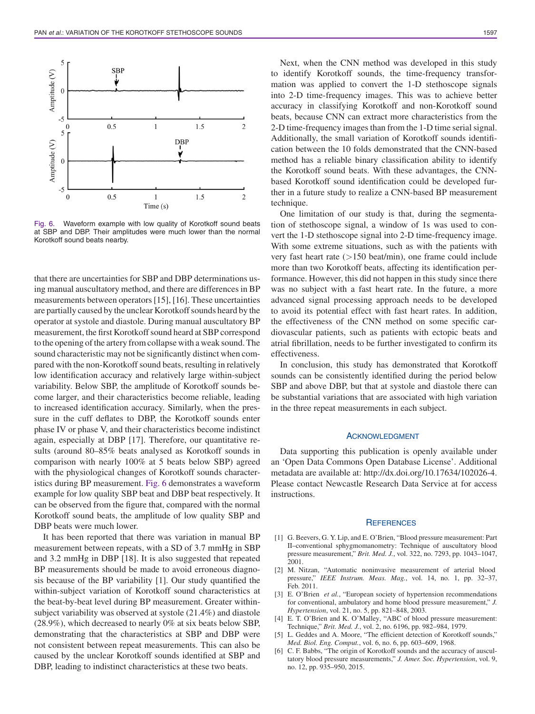

Fig. 6. Waveform example with low quality of Korotkoff sound beats at SBP and DBP. Their amplitudes were much lower than the normal Korotkoff sound beats nearby.

that there are uncertainties for SBP and DBP determinations using manual auscultatory method, and there are differences in BP measurements between operators [15], [16]. These uncertainties are partially caused by the unclear Korotkoff sounds heard by the operator at systole and diastole. During manual auscultatory BP measurement, the first Korotkoff sound heard at SBP correspond to the opening of the artery from collapse with a weak sound. The sound characteristic may not be significantly distinct when compared with the non-Korotkoff sound beats, resulting in relatively low identification accuracy and relatively large within-subject variability. Below SBP, the amplitude of Korotkoff sounds become larger, and their characteristics become reliable, leading to increased identification accuracy. Similarly, when the pressure in the cuff deflates to DBP, the Korotkoff sounds enter phase IV or phase V, and their characteristics become indistinct again, especially at DBP [17]. Therefore, our quantitative results (around 80–85% beats analysed as Korotkoff sounds in comparison with nearly 100% at 5 beats below SBP) agreed with the physiological changes of Korotkoff sounds characteristics during BP measurement. Fig. 6 demonstrates a waveform example for low quality SBP beat and DBP beat respectively. It can be observed from the figure that, compared with the normal Korotkoff sound beats, the amplitude of low quality SBP and DBP beats were much lower.

It has been reported that there was variation in manual BP measurement between repeats, with a SD of 3.7 mmHg in SBP and 3.2 mmHg in DBP [18]. It is also suggested that repeated BP measurements should be made to avoid erroneous diagnosis because of the BP variability [1]. Our study quantified the within-subject variation of Korotkoff sound characteristics at the beat-by-beat level during BP measurement. Greater withinsubject variability was observed at systole (21.4%) and diastole (28.9%), which decreased to nearly 0% at six beats below SBP, demonstrating that the characteristics at SBP and DBP were not consistent between repeat measurements. This can also be caused by the unclear Korotkoff sounds identified at SBP and DBP, leading to indistinct characteristics at these two beats.

Next, when the CNN method was developed in this study to identify Korotkoff sounds, the time-frequency transformation was applied to convert the 1-D stethoscope signals into 2-D time-frequency images. This was to achieve better accuracy in classifying Korotkoff and non-Korotkoff sound beats, because CNN can extract more characteristics from the 2-D time-frequency images than from the 1-D time serial signal. Additionally, the small variation of Korotkoff sounds identification between the 10 folds demonstrated that the CNN-based method has a reliable binary classification ability to identify the Korotkoff sound beats. With these advantages, the CNNbased Korotkoff sound identification could be developed further in a future study to realize a CNN-based BP measurement technique.

One limitation of our study is that, during the segmentation of stethoscope signal, a window of 1s was used to convert the 1-D stethoscope signal into 2-D time-frequency image. With some extreme situations, such as with the patients with very fast heart rate (*>*150 beat/min), one frame could include more than two Korotkoff beats, affecting its identification performance. However, this did not happen in this study since there was no subject with a fast heart rate. In the future, a more advanced signal processing approach needs to be developed to avoid its potential effect with fast heart rates. In addition, the effectiveness of the CNN method on some specific cardiovascular patients, such as patients with ectopic beats and atrial fibrillation, needs to be further investigated to confirm its effectiveness.

In conclusion, this study has demonstrated that Korotkoff sounds can be consistently identified during the period below SBP and above DBP, but that at systole and diastole there can be substantial variations that are associated with high variation in the three repeat measurements in each subject.

## ACKNOWLEDGMENT

Data supporting this publication is openly available under an 'Open Data Commons Open Database License'. Additional metadata are available at: http://dx.doi.org/10.17634/102026-4. Please contact Newcastle Research Data Service at for access instructions.

#### **REFERENCES**

- [1] G. Beevers, G. Y. Lip, and E. O'Brien, "Blood pressure measurement: Part II–conventional sphygmomanometry: Technique of auscultatory blood pressure measurement," *Brit. Med. J.*, vol. 322, no. 7293, pp. 1043–1047, 2001.
- [2] M. Nitzan, "Automatic noninvasive measurement of arterial blood pressure," *IEEE Instrum. Meas. Mag.*, vol. 14, no. 1, pp. 32–37, Feb. 2011.
- [3] E. O'Brien *et al.*, "European society of hypertension recommendations for conventional, ambulatory and home blood pressure measurement," *J. Hypertension*, vol. 21, no. 5, pp. 821–848, 2003.
- [4] E. T. O'Brien and K. O'Malley, "ABC of blood pressure measurement: Technique," *Brit. Med. J.*, vol. 2, no. 6196, pp. 982–984, 1979.
- [5] L. Geddes and A. Moore, "The efficient detection of Korotkoff sounds," *Med. Biol. Eng. Comput.*, vol. 6, no. 6, pp. 603–609, 1968.
- [6] C. F. Babbs, "The origin of Korotkoff sounds and the accuracy of auscultatory blood pressure measurements," *J. Amer. Soc. Hypertension*, vol. 9, no. 12, pp. 935–950, 2015.